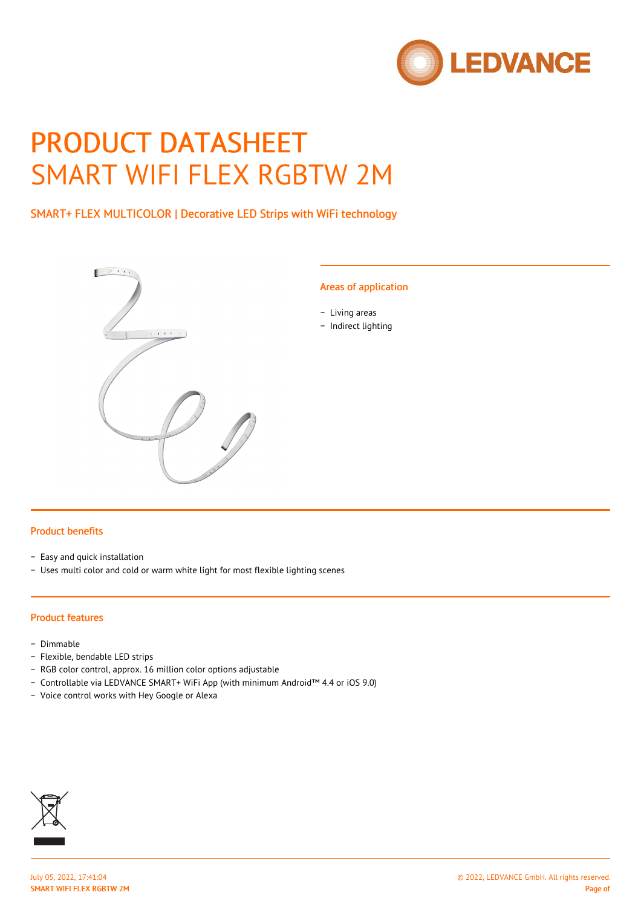

# PRODUCT DATASHEET SMART WIFI FLEX RGBTW 2M

SMART+ FLEX MULTICOLOR | Decorative LED Strips with WiFi technology



## Areas of application

- − Living areas
- − Indirect lighting

#### Product benefits

- − Easy and quick installation
- − Uses multi color and cold or warm white light for most flexible lighting scenes

#### Product features

- − Dimmable
- − Flexible, bendable LED strips
- − RGB color control, approx. 16 million color options adjustable
- − Controllable via LEDVANCE SMART+ WiFi App (with minimum Android™ 4.4 or iOS 9.0)
- − Voice control works with Hey Google or Alexa

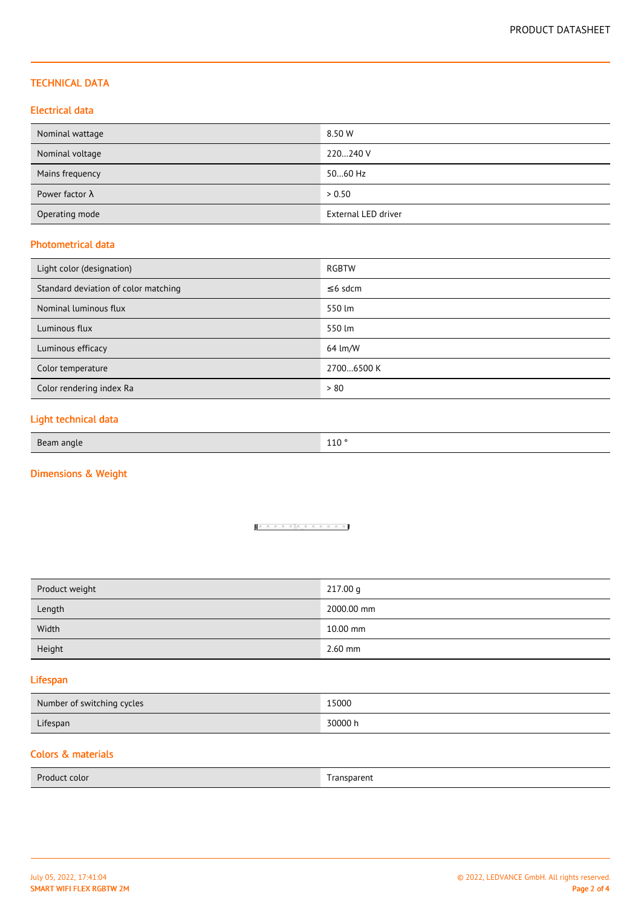## TECHNICAL DATA

## Electrical data

| Nominal wattage        | 8.50 W              |
|------------------------|---------------------|
| Nominal voltage        | 220240 V            |
| Mains frequency        | 5060 Hz             |
| Power factor $\lambda$ | > 0.50              |
| Operating mode         | External LED driver |

#### Photometrical data

| Light color (designation)            | RGBTW         |
|--------------------------------------|---------------|
| Standard deviation of color matching | $\leq$ 6 sdcm |
| Nominal luminous flux                | 550 lm        |
| Luminous flux                        | 550 lm        |
| Luminous efficacy                    | 64 lm/W       |
| Color temperature                    | 27006500 K    |
| Color rendering index Ra             | > 80          |

# Light technical data

| Bean<br>anue<br>ᆠᅶᇦ |
|---------------------|
|---------------------|

# Dimensions & Weight

#### <u>1000000000000</u>

| 217.00 g   |
|------------|
| 2000.00 mm |
| 10.00 mm   |
| $2.60$ mm  |
|            |

## Lifespan

| Number of switching cycles | 15000   |
|----------------------------|---------|
| Lifespan                   | 30000 h |

# Colors & materials

| Product color | ' ransparent<br>_____ |
|---------------|-----------------------|
|               |                       |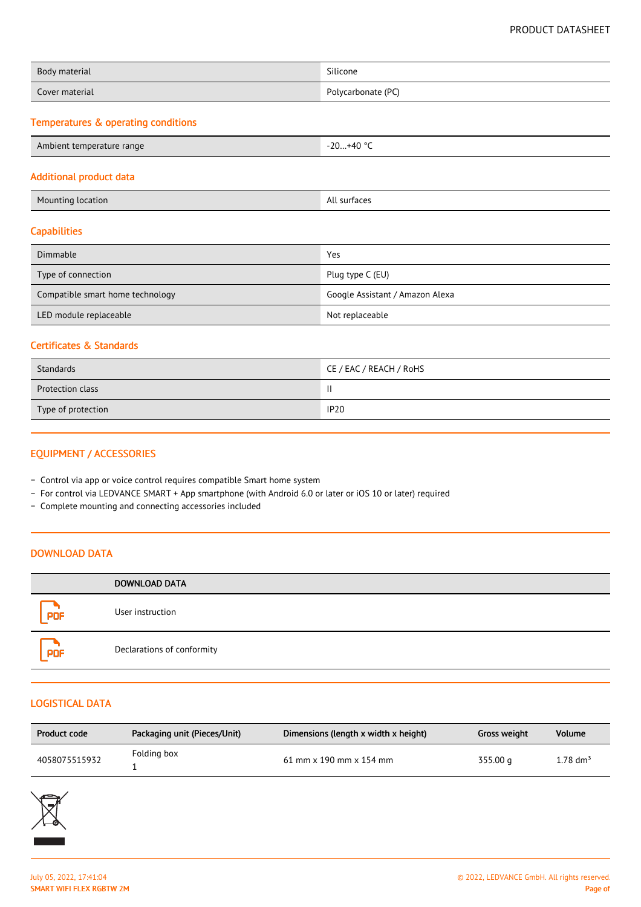| Body material  | Silicone           |
|----------------|--------------------|
| Cover material | Polycarbonate (PC) |

# Temperatures & operating conditions

| Ambient temperature range | -20+40 °C |
|---------------------------|-----------|
|---------------------------|-----------|

#### Additional product data

| Mounting location | All surfaces |
|-------------------|--------------|
|                   |              |

## **Capabilities**

| Dimmable                         | Yes                             |
|----------------------------------|---------------------------------|
| Type of connection               | Plug type C (EU)                |
| Compatible smart home technology | Google Assistant / Amazon Alexa |
| LED module replaceable           | Not replaceable                 |

## Certificates & Standards

| Standards               | CE / EAC / REACH / RoHS |
|-------------------------|-------------------------|
| <b>Protection class</b> | ΙI                      |
| Type of protection      | <b>IP20</b>             |

# EQUIPMENT / ACCESSORIES

- − Control via app or voice control requires compatible Smart home system
- − For control via LEDVANCE SMART + App smartphone (with Android 6.0 or later or iOS 10 or later) required
- − Complete mounting and connecting accessories included

# DOWNLOAD DATA

|            | <b>DOWNLOAD DATA</b>       |
|------------|----------------------------|
| <b>PDF</b> | User instruction           |
| <b>PDF</b> | Declarations of conformity |

#### LOGISTICAL DATA

| Product code  | Packaging unit (Pieces/Unit) | Dimensions (length x width x height) | Gross weight | Volume           |
|---------------|------------------------------|--------------------------------------|--------------|------------------|
| 4058075515932 | Folding box                  | $61$ mm x 190 mm x 154 mm            | 355.00 g     | $1.78~\rm{dm^3}$ |